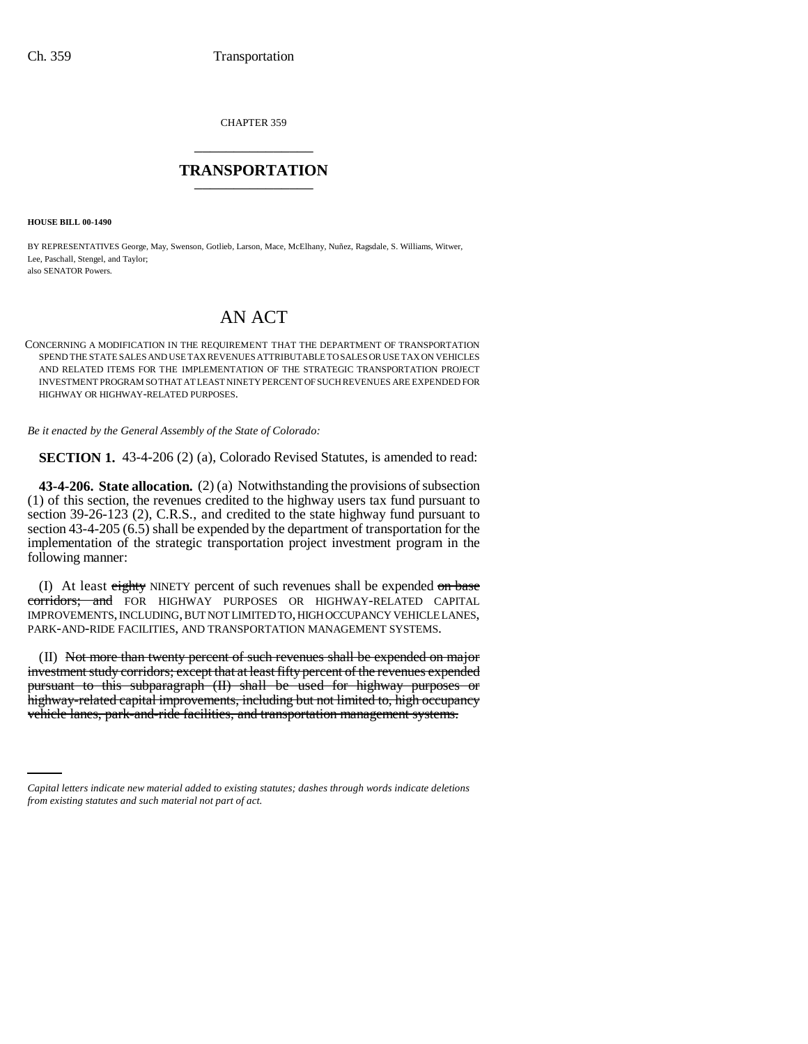CHAPTER 359 \_\_\_\_\_\_\_\_\_\_\_\_\_\_\_

## **TRANSPORTATION** \_\_\_\_\_\_\_\_\_\_\_\_\_\_\_

**HOUSE BILL 00-1490** 

BY REPRESENTATIVES George, May, Swenson, Gotlieb, Larson, Mace, McElhany, Nuñez, Ragsdale, S. Williams, Witwer, Lee, Paschall, Stengel, and Taylor; also SENATOR Powers.

## AN ACT

CONCERNING A MODIFICATION IN THE REQUIREMENT THAT THE DEPARTMENT OF TRANSPORTATION SPEND THE STATE SALES AND USE TAX REVENUES ATTRIBUTABLE TO SALES OR USE TAX ON VEHICLES AND RELATED ITEMS FOR THE IMPLEMENTATION OF THE STRATEGIC TRANSPORTATION PROJECT INVESTMENT PROGRAM SO THAT AT LEAST NINETY PERCENT OF SUCH REVENUES ARE EXPENDED FOR HIGHWAY OR HIGHWAY-RELATED PURPOSES.

*Be it enacted by the General Assembly of the State of Colorado:*

**SECTION 1.** 43-4-206 (2) (a), Colorado Revised Statutes, is amended to read:

**43-4-206. State allocation.** (2) (a) Notwithstanding the provisions of subsection (1) of this section, the revenues credited to the highway users tax fund pursuant to section 39-26-123 (2), C.R.S., and credited to the state highway fund pursuant to section 43-4-205 (6.5) shall be expended by the department of transportation for the implementation of the strategic transportation project investment program in the following manner:

(I) At least eighty NINETY percent of such revenues shall be expended on base corridors; and FOR HIGHWAY PURPOSES OR HIGHWAY-RELATED CAPITAL IMPROVEMENTS, INCLUDING, BUT NOT LIMITED TO, HIGH OCCUPANCY VEHICLE LANES, PARK-AND-RIDE FACILITIES, AND TRANSPORTATION MANAGEMENT SYSTEMS.

highway-related capital improvements, including but not limited to, high occupancy (II) Not more than twenty percent of such revenues shall be expended on major investment study corridors; except that at least fifty percent of the revenues expended pursuant to this subparagraph (II) shall be used for highway purposes or vehicle lanes, park-and-ride facilities, and transportation management systems.

*Capital letters indicate new material added to existing statutes; dashes through words indicate deletions from existing statutes and such material not part of act.*